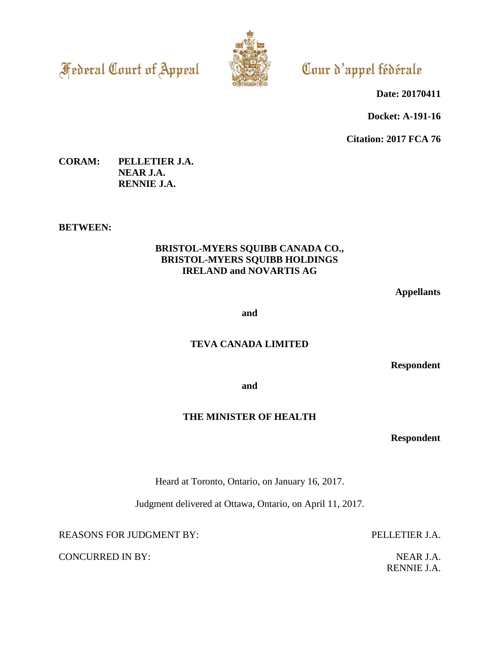**Federal Court of Appeal** 



Cour d'appel fédérale

**Date: 20170411**

**Docket: A-191-16**

**Citation: 2017 FCA 76**

# **CORAM: PELLETIER J.A. NEAR J.A. RENNIE J.A.**

#### **BETWEEN:**

### **BRISTOL-MYERS SQUIBB CANADA CO., BRISTOL-MYERS SQUIBB HOLDINGS IRELAND and NOVARTIS AG**

**Appellants**

**and**

### **TEVA CANADA LIMITED**

**Respondent**

**and**

# **THE MINISTER OF HEALTH**

**Respondent**

Heard at Toronto, Ontario, on January 16, 2017.

Judgment delivered at Ottawa, Ontario, on April 11, 2017.

REASONS FOR JUDGMENT BY: PELLETIER J.A.

CONCURRED IN BY: NEAR J.A.

RENNIE J.A.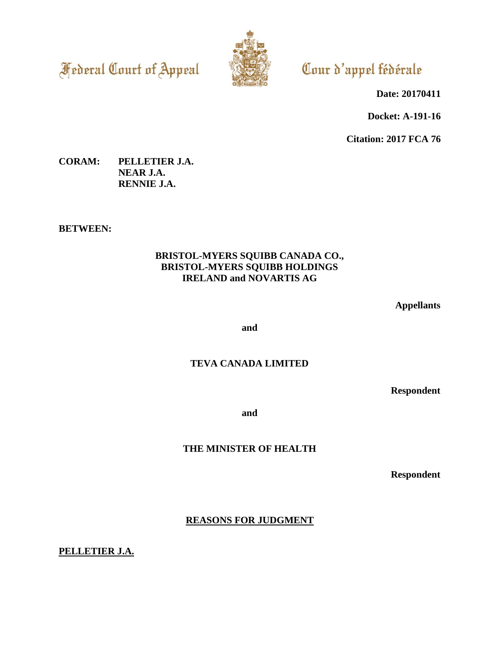**Federal Court of Appeal** 



Cour d'appel fédérale

**Date: 20170411**

**Docket: A-191-16**

**Citation: 2017 FCA 76**

# **CORAM: PELLETIER J.A. NEAR J.A. RENNIE J.A.**

### **BETWEEN:**

# **BRISTOL-MYERS SQUIBB CANADA CO., BRISTOL-MYERS SQUIBB HOLDINGS IRELAND and NOVARTIS AG**

**Appellants**

**and**

# **TEVA CANADA LIMITED**

**Respondent**

**and**

**THE MINISTER OF HEALTH**

**Respondent**

**REASONS FOR JUDGMENT**

**PELLETIER J.A.**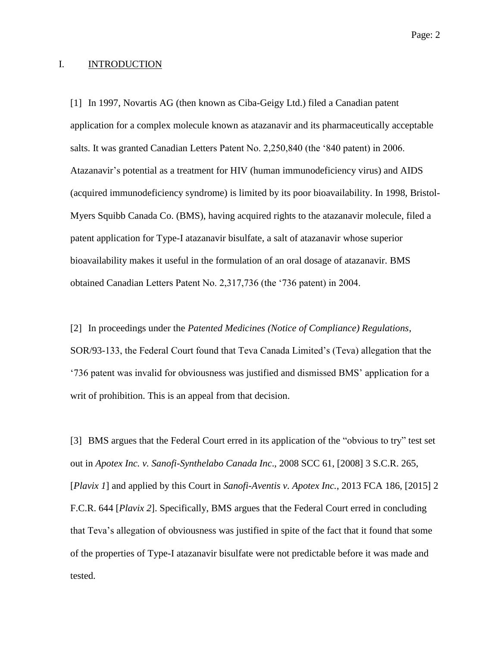#### I. INTRODUCTION

[1] In 1997, Novartis AG (then known as Ciba-Geigy Ltd.) filed a Canadian patent application for a complex molecule known as atazanavir and its pharmaceutically acceptable salts. It was granted Canadian Letters Patent No. 2,250,840 (the '840 patent) in 2006. Atazanavir's potential as a treatment for HIV (human immunodeficiency virus) and AIDS (acquired immunodeficiency syndrome) is limited by its poor bioavailability. In 1998, Bristol-Myers Squibb Canada Co. (BMS), having acquired rights to the atazanavir molecule, filed a patent application for Type-I atazanavir bisulfate, a salt of atazanavir whose superior bioavailability makes it useful in the formulation of an oral dosage of atazanavir. BMS obtained Canadian Letters Patent No. 2,317,736 (the '736 patent) in 2004.

[2] In proceedings under the *Patented Medicines (Notice of Compliance) Regulations*, SOR/93-133, the Federal Court found that Teva Canada Limited's (Teva) allegation that the '736 patent was invalid for obviousness was justified and dismissed BMS' application for a writ of prohibition. This is an appeal from that decision.

[3] BMS argues that the Federal Court erred in its application of the "obvious to try" test set out in *Apotex Inc. v. Sanofi-Synthelabo Canada Inc*., 2008 SCC 61, [2008] 3 S.C.R. 265, [*Plavix 1*] and applied by this Court in *Sanofi-Aventis v. Apotex Inc.*, 2013 FCA 186, [2015] 2 F.C.R. 644 [*Plavix 2*]. Specifically, BMS argues that the Federal Court erred in concluding that Teva's allegation of obviousness was justified in spite of the fact that it found that some of the properties of Type-I atazanavir bisulfate were not predictable before it was made and tested.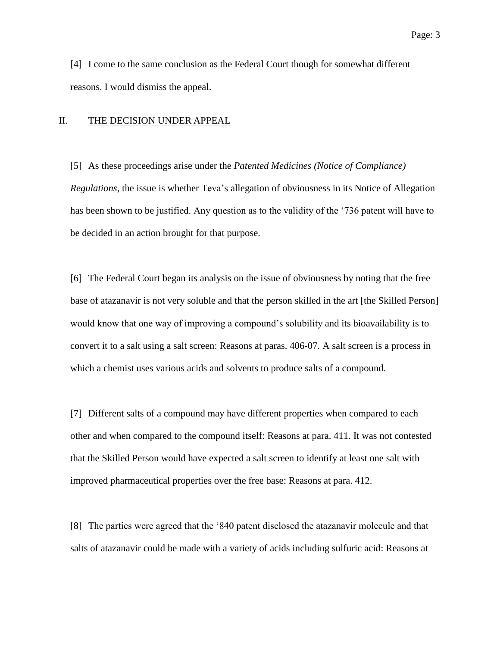[4] I come to the same conclusion as the Federal Court though for somewhat different reasons. I would dismiss the appeal.

#### II. THE DECISION UNDER APPEAL

[5] As these proceedings arise under the *Patented Medicines (Notice of Compliance) Regulations*, the issue is whether Teva's allegation of obviousness in its Notice of Allegation has been shown to be justified. Any question as to the validity of the '736 patent will have to be decided in an action brought for that purpose.

[6] The Federal Court began its analysis on the issue of obviousness by noting that the free base of atazanavir is not very soluble and that the person skilled in the art [the Skilled Person] would know that one way of improving a compound's solubility and its bioavailability is to convert it to a salt using a salt screen: Reasons at paras. 406-07. A salt screen is a process in which a chemist uses various acids and solvents to produce salts of a compound.

[7] Different salts of a compound may have different properties when compared to each other and when compared to the compound itself: Reasons at para. 411. It was not contested that the Skilled Person would have expected a salt screen to identify at least one salt with improved pharmaceutical properties over the free base: Reasons at para. 412.

[8] The parties were agreed that the '840 patent disclosed the atazanavir molecule and that salts of atazanavir could be made with a variety of acids including sulfuric acid: Reasons at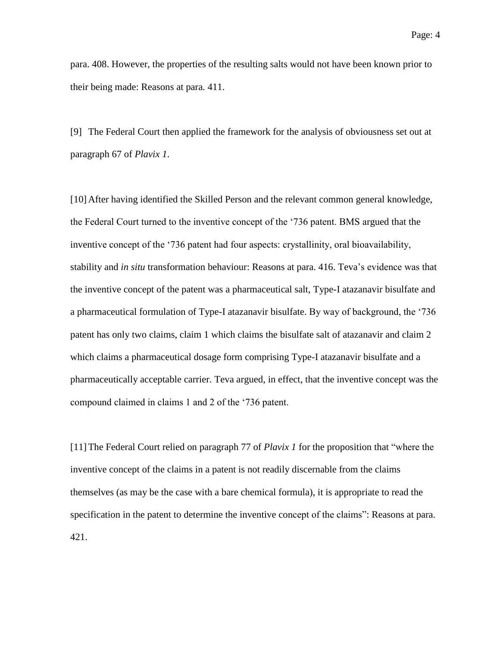para. 408. However, the properties of the resulting salts would not have been known prior to their being made: Reasons at para. 411.

[9] The Federal Court then applied the framework for the analysis of obviousness set out at paragraph 67 of *Plavix 1*.

[10] After having identified the Skilled Person and the relevant common general knowledge, the Federal Court turned to the inventive concept of the '736 patent. BMS argued that the inventive concept of the '736 patent had four aspects: crystallinity, oral bioavailability, stability and *in situ* transformation behaviour: Reasons at para. 416. Teva's evidence was that the inventive concept of the patent was a pharmaceutical salt, Type-I atazanavir bisulfate and a pharmaceutical formulation of Type-I atazanavir bisulfate. By way of background, the '736 patent has only two claims, claim 1 which claims the bisulfate salt of atazanavir and claim 2 which claims a pharmaceutical dosage form comprising Type-I atazanavir bisulfate and a pharmaceutically acceptable carrier. Teva argued, in effect, that the inventive concept was the compound claimed in claims 1 and 2 of the '736 patent.

[11]The Federal Court relied on paragraph 77 of *Plavix 1* for the proposition that "where the inventive concept of the claims in a patent is not readily discernable from the claims themselves (as may be the case with a bare chemical formula), it is appropriate to read the specification in the patent to determine the inventive concept of the claims": Reasons at para. 421.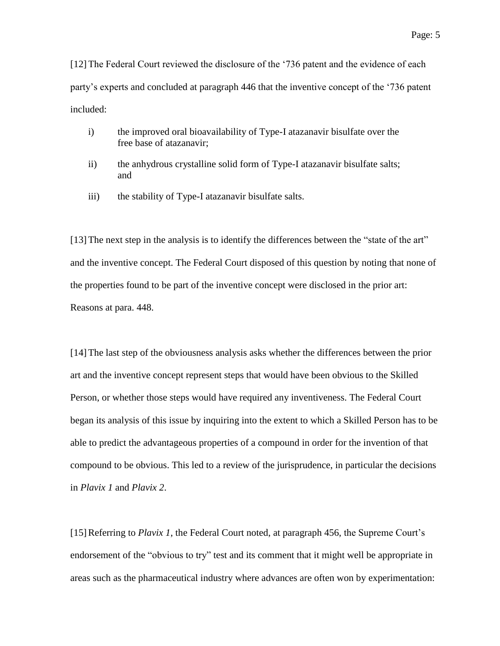[12]The Federal Court reviewed the disclosure of the '736 patent and the evidence of each party's experts and concluded at paragraph 446 that the inventive concept of the '736 patent included:

- i) the improved oral bioavailability of Type-I atazanavir bisulfate over the free base of atazanavir;
- ii) the anhydrous crystalline solid form of Type-I atazanavir bisulfate salts; and
- iii) the stability of Type-I atazanavir bisulfate salts.

[13]The next step in the analysis is to identify the differences between the "state of the art" and the inventive concept. The Federal Court disposed of this question by noting that none of the properties found to be part of the inventive concept were disclosed in the prior art: Reasons at para. 448.

[14]The last step of the obviousness analysis asks whether the differences between the prior art and the inventive concept represent steps that would have been obvious to the Skilled Person, or whether those steps would have required any inventiveness. The Federal Court began its analysis of this issue by inquiring into the extent to which a Skilled Person has to be able to predict the advantageous properties of a compound in order for the invention of that compound to be obvious. This led to a review of the jurisprudence, in particular the decisions in *Plavix 1* and *Plavix 2*.

[15]Referring to *Plavix 1*, the Federal Court noted, at paragraph 456, the Supreme Court's endorsement of the "obvious to try" test and its comment that it might well be appropriate in areas such as the pharmaceutical industry where advances are often won by experimentation: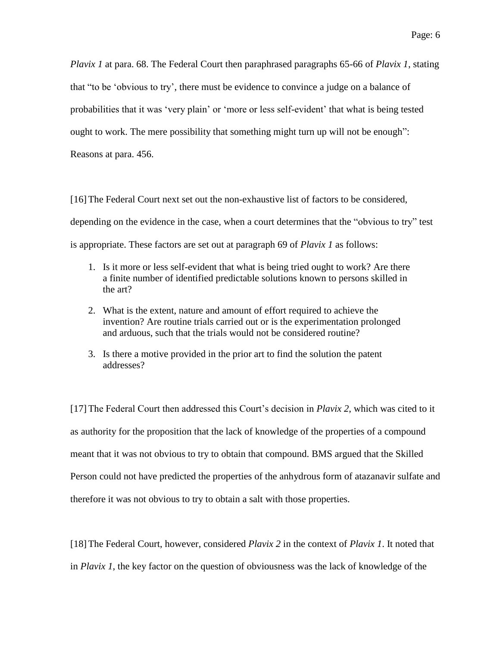*Plavix 1* at para. 68. The Federal Court then paraphrased paragraphs 65-66 of *Plavix 1*, stating that "to be 'obvious to try', there must be evidence to convince a judge on a balance of probabilities that it was 'very plain' or 'more or less self-evident' that what is being tested ought to work. The mere possibility that something might turn up will not be enough": Reasons at para. 456.

[16]The Federal Court next set out the non-exhaustive list of factors to be considered, depending on the evidence in the case, when a court determines that the "obvious to try" test is appropriate. These factors are set out at paragraph 69 of *Plavix 1* as follows:

- 1. Is it more or less self-evident that what is being tried ought to work? Are there a finite number of identified predictable solutions known to persons skilled in the art?
- 2. What is the extent, nature and amount of effort required to achieve the invention? Are routine trials carried out or is the experimentation prolonged and arduous, such that the trials would not be considered routine?
- 3. Is there a motive provided in the prior art to find the solution the patent addresses?

[17]The Federal Court then addressed this Court's decision in *Plavix 2*, which was cited to it as authority for the proposition that the lack of knowledge of the properties of a compound meant that it was not obvious to try to obtain that compound. BMS argued that the Skilled Person could not have predicted the properties of the anhydrous form of atazanavir sulfate and therefore it was not obvious to try to obtain a salt with those properties.

[18]The Federal Court, however, considered *Plavix 2* in the context of *Plavix 1*. It noted that in *Plavix 1*, the key factor on the question of obviousness was the lack of knowledge of the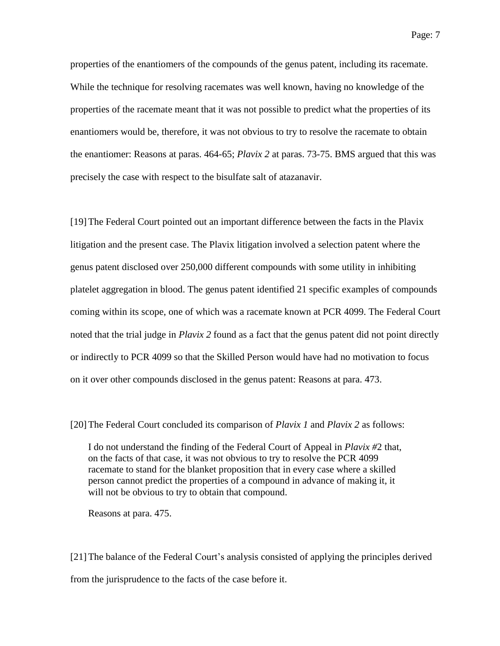properties of the enantiomers of the compounds of the genus patent, including its racemate. While the technique for resolving racemates was well known, having no knowledge of the properties of the racemate meant that it was not possible to predict what the properties of its enantiomers would be, therefore, it was not obvious to try to resolve the racemate to obtain the enantiomer: Reasons at paras. 464-65; *Plavix 2* at paras. 73-75. BMS argued that this was precisely the case with respect to the bisulfate salt of atazanavir.

[19]The Federal Court pointed out an important difference between the facts in the Plavix litigation and the present case. The Plavix litigation involved a selection patent where the genus patent disclosed over 250,000 different compounds with some utility in inhibiting platelet aggregation in blood. The genus patent identified 21 specific examples of compounds coming within its scope, one of which was a racemate known at PCR 4099. The Federal Court noted that the trial judge in *Plavix 2* found as a fact that the genus patent did not point directly or indirectly to PCR 4099 so that the Skilled Person would have had no motivation to focus on it over other compounds disclosed in the genus patent: Reasons at para. 473.

[20]The Federal Court concluded its comparison of *Plavix 1* and *Plavix 2* as follows:

I do not understand the finding of the Federal Court of Appeal in *Plavix #*2 that, on the facts of that case, it was not obvious to try to resolve the PCR 4099 racemate to stand for the blanket proposition that in every case where a skilled person cannot predict the properties of a compound in advance of making it, it will not be obvious to try to obtain that compound.

Reasons at para. 475.

[21]The balance of the Federal Court's analysis consisted of applying the principles derived from the jurisprudence to the facts of the case before it.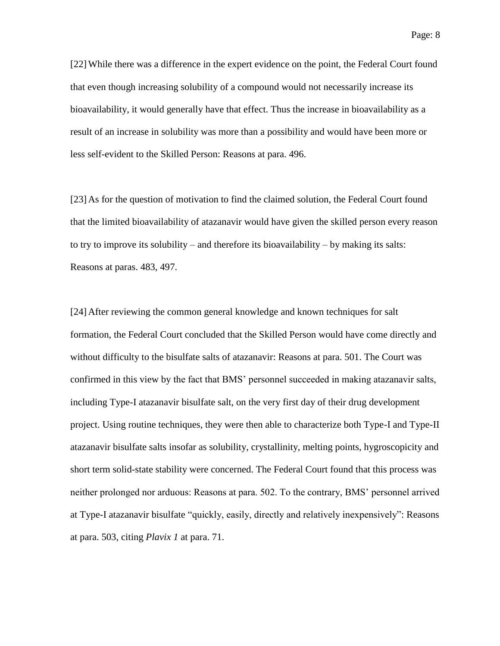[22]While there was a difference in the expert evidence on the point, the Federal Court found that even though increasing solubility of a compound would not necessarily increase its bioavailability, it would generally have that effect. Thus the increase in bioavailability as a result of an increase in solubility was more than a possibility and would have been more or less self-evident to the Skilled Person: Reasons at para. 496.

[23] As for the question of motivation to find the claimed solution, the Federal Court found that the limited bioavailability of atazanavir would have given the skilled person every reason to try to improve its solubility – and therefore its bioavailability – by making its salts: Reasons at paras. 483, 497.

[24] After reviewing the common general knowledge and known techniques for salt formation, the Federal Court concluded that the Skilled Person would have come directly and without difficulty to the bisulfate salts of atazanavir: Reasons at para. 501. The Court was confirmed in this view by the fact that BMS' personnel succeeded in making atazanavir salts, including Type-I atazanavir bisulfate salt, on the very first day of their drug development project. Using routine techniques, they were then able to characterize both Type-I and Type-II atazanavir bisulfate salts insofar as solubility, crystallinity, melting points, hygroscopicity and short term solid-state stability were concerned. The Federal Court found that this process was neither prolonged nor arduous: Reasons at para. 502. To the contrary, BMS' personnel arrived at Type-I atazanavir bisulfate "quickly, easily, directly and relatively inexpensively": Reasons at para. 503, citing *Plavix 1* at para. 71.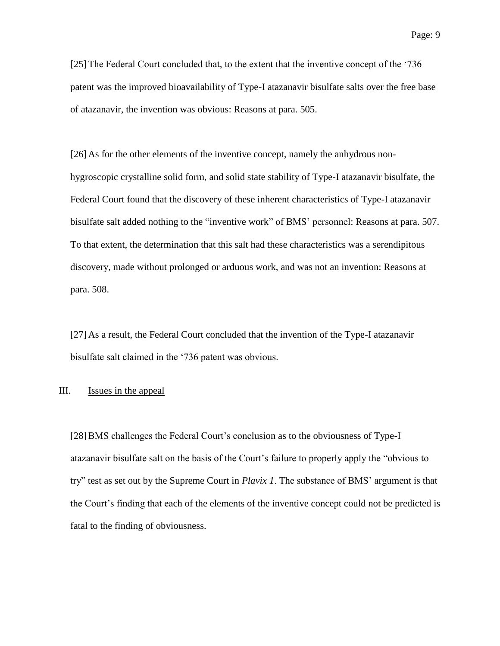[25]The Federal Court concluded that, to the extent that the inventive concept of the '736 patent was the improved bioavailability of Type-I atazanavir bisulfate salts over the free base of atazanavir, the invention was obvious: Reasons at para. 505.

[26] As for the other elements of the inventive concept, namely the anhydrous nonhygroscopic crystalline solid form, and solid state stability of Type-I atazanavir bisulfate, the Federal Court found that the discovery of these inherent characteristics of Type-I atazanavir bisulfate salt added nothing to the "inventive work" of BMS' personnel: Reasons at para. 507. To that extent, the determination that this salt had these characteristics was a serendipitous discovery, made without prolonged or arduous work, and was not an invention: Reasons at para. 508.

[27] As a result, the Federal Court concluded that the invention of the Type-I atazanavir bisulfate salt claimed in the '736 patent was obvious.

### III. Issues in the appeal

[28]BMS challenges the Federal Court's conclusion as to the obviousness of Type-I atazanavir bisulfate salt on the basis of the Court's failure to properly apply the "obvious to try" test as set out by the Supreme Court in *Plavix 1*. The substance of BMS' argument is that the Court's finding that each of the elements of the inventive concept could not be predicted is fatal to the finding of obviousness.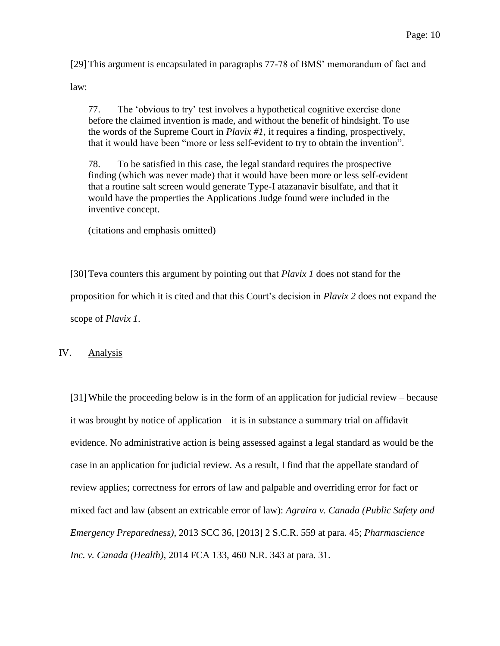[29]This argument is encapsulated in paragraphs 77-78 of BMS' memorandum of fact and

law:

77. The 'obvious to try' test involves a hypothetical cognitive exercise done before the claimed invention is made, and without the benefit of hindsight. To use the words of the Supreme Court in *Plavix #1*, it requires a finding, prospectively, that it would have been "more or less self-evident to try to obtain the invention".

78. To be satisfied in this case, the legal standard requires the prospective finding (which was never made) that it would have been more or less self-evident that a routine salt screen would generate Type-I atazanavir bisulfate, and that it would have the properties the Applications Judge found were included in the inventive concept.

(citations and emphasis omitted)

[30]Teva counters this argument by pointing out that *Plavix 1* does not stand for the proposition for which it is cited and that this Court's decision in *Plavix 2* does not expand the scope of *Plavix 1*.

IV. Analysis

[31]While the proceeding below is in the form of an application for judicial review – because it was brought by notice of application – it is in substance a summary trial on affidavit evidence. No administrative action is being assessed against a legal standard as would be the case in an application for judicial review. As a result, I find that the appellate standard of review applies; correctness for errors of law and palpable and overriding error for fact or mixed fact and law (absent an extricable error of law): *Agraira v. Canada (Public Safety and Emergency Preparedness)*, 2013 SCC 36, [2013] 2 S.C.R. 559 at para. 45; *Pharmascience Inc. v. Canada (Health)*, 2014 FCA 133, 460 N.R. 343 at para. 31.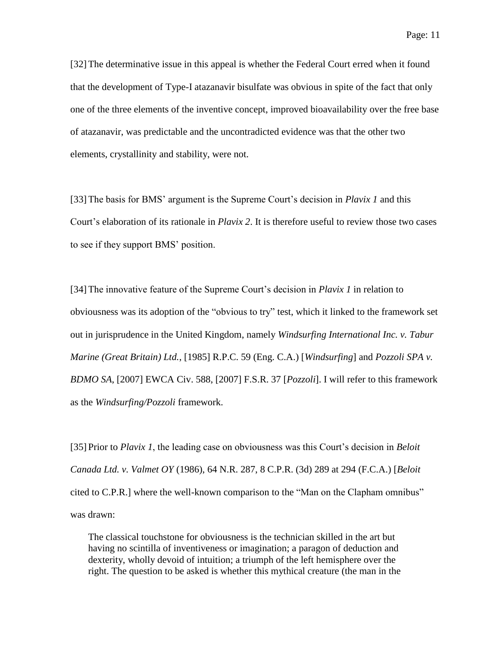[32]The determinative issue in this appeal is whether the Federal Court erred when it found that the development of Type-I atazanavir bisulfate was obvious in spite of the fact that only one of the three elements of the inventive concept, improved bioavailability over the free base of atazanavir, was predictable and the uncontradicted evidence was that the other two elements, crystallinity and stability, were not.

[33]The basis for BMS' argument is the Supreme Court's decision in *Plavix 1* and this Court's elaboration of its rationale in *Plavix 2*. It is therefore useful to review those two cases to see if they support BMS' position.

[34]The innovative feature of the Supreme Court's decision in *Plavix 1* in relation to obviousness was its adoption of the "obvious to try" test, which it linked to the framework set out in jurisprudence in the United Kingdom, namely *Windsurfing International Inc. v. Tabur Marine (Great Britain) Ltd.*, [1985] R.P.C. 59 (Eng. C.A.) [*Windsurfing*] and *Pozzoli SPA v. BDMO SA*, [2007] EWCA Civ. 588, [2007] F.S.R. 37 [*Pozzoli*]. I will refer to this framework as the *Windsurfing/Pozzoli* framework.

[35] Prior to *Plavix 1*, the leading case on obviousness was this Court's decision in *Beloit Canada Ltd. v. Valmet OY* (1986), 64 N.R. 287, 8 C.P.R. (3d) 289 at 294 (F.C.A.) [*Beloit* cited to C.P.R.] where the well-known comparison to the "Man on the Clapham omnibus" was drawn:

The classical touchstone for obviousness is the technician skilled in the art but having no scintilla of inventiveness or imagination; a paragon of deduction and dexterity, wholly devoid of intuition; a triumph of the left hemisphere over the right. The question to be asked is whether this mythical creature (the man in the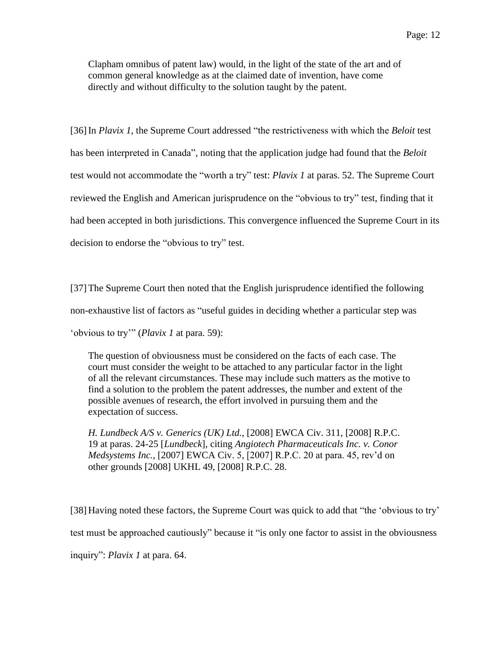Clapham omnibus of patent law) would, in the light of the state of the art and of common general knowledge as at the claimed date of invention, have come directly and without difficulty to the solution taught by the patent.

[36]In *Plavix 1*, the Supreme Court addressed "the restrictiveness with which the *Beloit* test has been interpreted in Canada", noting that the application judge had found that the *Beloit* test would not accommodate the "worth a try" test: *Plavix 1* at paras. 52. The Supreme Court reviewed the English and American jurisprudence on the "obvious to try" test, finding that it had been accepted in both jurisdictions. This convergence influenced the Supreme Court in its decision to endorse the "obvious to try" test.

[37]The Supreme Court then noted that the English jurisprudence identified the following non-exhaustive list of factors as "useful guides in deciding whether a particular step was 'obvious to try'" (*Plavix 1* at para. 59):

The question of obviousness must be considered on the facts of each case. The court must consider the weight to be attached to any particular factor in the light of all the relevant circumstances. These may include such matters as the motive to find a solution to the problem the patent addresses, the number and extent of the possible avenues of research, the effort involved in pursuing them and the expectation of success.

*H. Lundbeck A/S v. Generics (UK) Ltd.*, [2008] EWCA Civ. 311, [2008] R.P.C. 19 at paras. 24-25 [*Lundbeck*], citing *Angiotech Pharmaceuticals Inc. v. Conor Medsystems Inc.*, [2007] EWCA Civ. 5, [2007] R.P.C. 20 at para. 45, rev'd on other grounds [2008] UKHL 49, [2008] R.P.C. 28.

[38] Having noted these factors, the Supreme Court was quick to add that "the 'obvious to try' test must be approached cautiously" because it "is only one factor to assist in the obviousness inquiry": *Plavix 1* at para. 64.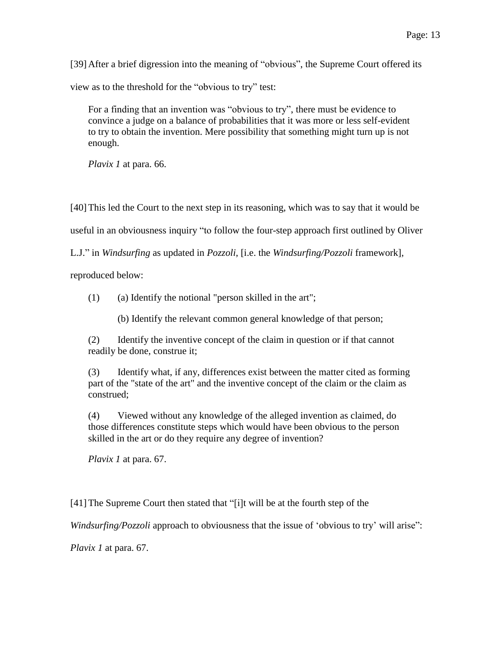[39] After a brief digression into the meaning of "obvious", the Supreme Court offered its

view as to the threshold for the "obvious to try" test:

For a finding that an invention was "obvious to try", there must be evidence to convince a judge on a balance of probabilities that it was more or less self-evident to try to obtain the invention. Mere possibility that something might turn up is not enough.

*Plavix 1* at para. 66.

[40]This led the Court to the next step in its reasoning, which was to say that it would be

useful in an obviousness inquiry "to follow the four-step approach first outlined by Oliver

L.J." in *Windsurfing* as updated in *Pozzoli*, [i.e. the *Windsurfing/Pozzoli* framework],

reproduced below:

 $(1)$  (a) Identify the notional "person skilled in the art";

(b) Identify the relevant common general knowledge of that person;

(2) Identify the inventive concept of the claim in question or if that cannot readily be done, construe it;

(3) Identify what, if any, differences exist between the matter cited as forming part of the "state of the art" and the inventive concept of the claim or the claim as construed;

(4) Viewed without any knowledge of the alleged invention as claimed, do those differences constitute steps which would have been obvious to the person skilled in the art or do they require any degree of invention?

*Plavix 1* at para. 67.

[41]The Supreme Court then stated that "[i]t will be at the fourth step of the

*Windsurfing/Pozzoli* approach to obviousness that the issue of 'obvious to try' will arise":

*Plavix 1* at para. 67.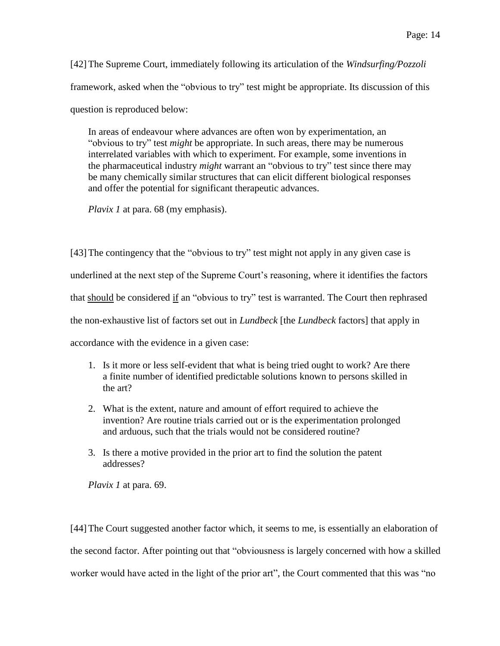[42]The Supreme Court, immediately following its articulation of the *Windsurfing/Pozzoli* framework, asked when the "obvious to try" test might be appropriate. Its discussion of this question is reproduced below:

In areas of endeavour where advances are often won by experimentation, an "obvious to try" test *might* be appropriate. In such areas, there may be numerous interrelated variables with which to experiment. For example, some inventions in the pharmaceutical industry *might* warrant an "obvious to try" test since there may be many chemically similar structures that can elicit different biological responses and offer the potential for significant therapeutic advances.

*Plavix 1* at para. 68 (my emphasis).

[43] The contingency that the "obvious to try" test might not apply in any given case is underlined at the next step of the Supreme Court's reasoning, where it identifies the factors that should be considered if an "obvious to try" test is warranted. The Court then rephrased the non-exhaustive list of factors set out in *Lundbeck* [the *Lundbeck* factors] that apply in accordance with the evidence in a given case:

- 1. Is it more or less self-evident that what is being tried ought to work? Are there a finite number of identified predictable solutions known to persons skilled in the art?
- 2. What is the extent, nature and amount of effort required to achieve the invention? Are routine trials carried out or is the experimentation prolonged and arduous, such that the trials would not be considered routine?
- 3. Is there a motive provided in the prior art to find the solution the patent addresses?

*Plavix 1* at para. 69.

[44]The Court suggested another factor which, it seems to me, is essentially an elaboration of the second factor. After pointing out that "obviousness is largely concerned with how a skilled worker would have acted in the light of the prior art", the Court commented that this was "no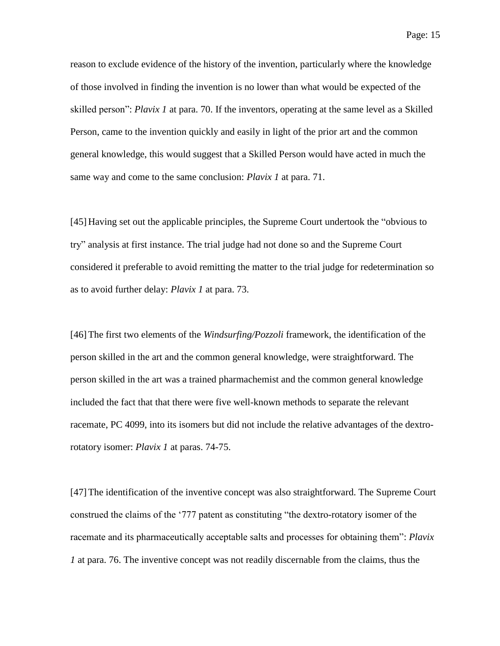reason to exclude evidence of the history of the invention, particularly where the knowledge

of those involved in finding the invention is no lower than what would be expected of the skilled person": *Plavix 1* at para. 70. If the inventors, operating at the same level as a Skilled Person, came to the invention quickly and easily in light of the prior art and the common general knowledge, this would suggest that a Skilled Person would have acted in much the same way and come to the same conclusion: *Plavix 1* at para. 71.

[45] Having set out the applicable principles, the Supreme Court undertook the "obvious to try" analysis at first instance. The trial judge had not done so and the Supreme Court considered it preferable to avoid remitting the matter to the trial judge for redetermination so as to avoid further delay: *Plavix 1* at para. 73.

[46]The first two elements of the *Windsurfing/Pozzoli* framework, the identification of the person skilled in the art and the common general knowledge, were straightforward. The person skilled in the art was a trained pharmachemist and the common general knowledge included the fact that that there were five well-known methods to separate the relevant racemate, PC 4099, into its isomers but did not include the relative advantages of the dextrorotatory isomer: *Plavix 1* at paras. 74-75.

[47]The identification of the inventive concept was also straightforward. The Supreme Court construed the claims of the '777 patent as constituting "the dextro-rotatory isomer of the racemate and its pharmaceutically acceptable salts and processes for obtaining them": *Plavix 1* at para. 76. The inventive concept was not readily discernable from the claims, thus the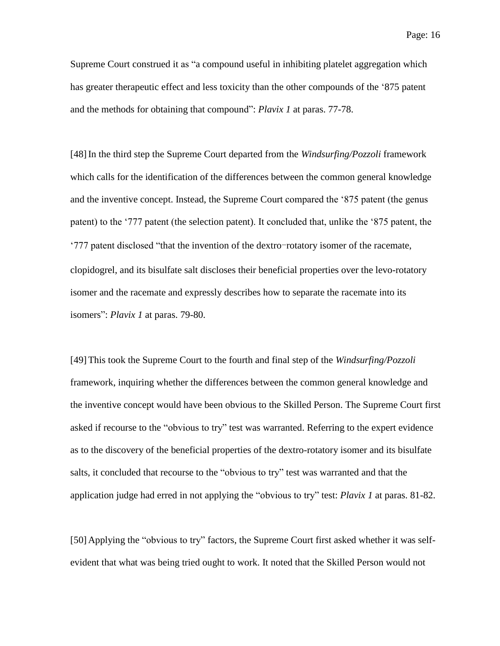Supreme Court construed it as "a compound useful in inhibiting platelet aggregation which has greater therapeutic effect and less toxicity than the other compounds of the '875 patent and the methods for obtaining that compound": *Plavix 1* at paras. 77-78.

[48]In the third step the Supreme Court departed from the *Windsurfing/Pozzoli* framework which calls for the identification of the differences between the common general knowledge and the inventive concept. Instead, the Supreme Court compared the '875 patent (the genus patent) to the '777 patent (the selection patent). It concluded that, unlike the '875 patent, the '777 patent disclosed "that the invention of the dextro-rotatory isomer of the racemate, clopidogrel, and its bisulfate salt discloses their beneficial properties over the levo-rotatory isomer and the racemate and expressly describes how to separate the racemate into its isomers": *Plavix 1* at paras. 79-80.

[49]This took the Supreme Court to the fourth and final step of the *Windsurfing/Pozzoli* framework, inquiring whether the differences between the common general knowledge and the inventive concept would have been obvious to the Skilled Person. The Supreme Court first asked if recourse to the "obvious to try" test was warranted. Referring to the expert evidence as to the discovery of the beneficial properties of the dextro-rotatory isomer and its bisulfate salts, it concluded that recourse to the "obvious to try" test was warranted and that the application judge had erred in not applying the "obvious to try" test: *Plavix 1* at paras. 81-82.

[50] Applying the "obvious to try" factors, the Supreme Court first asked whether it was selfevident that what was being tried ought to work. It noted that the Skilled Person would not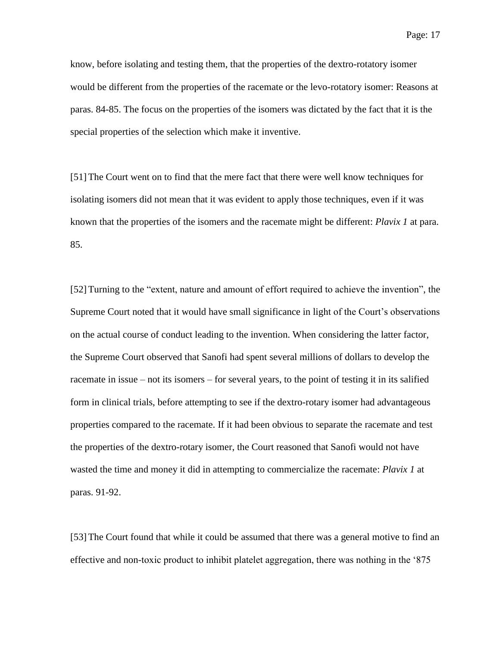know, before isolating and testing them, that the properties of the dextro-rotatory isomer would be different from the properties of the racemate or the levo-rotatory isomer: Reasons at paras. 84-85. The focus on the properties of the isomers was dictated by the fact that it is the special properties of the selection which make it inventive.

[51]The Court went on to find that the mere fact that there were well know techniques for isolating isomers did not mean that it was evident to apply those techniques, even if it was known that the properties of the isomers and the racemate might be different: *Plavix 1* at para. 85.

[52] Turning to the "extent, nature and amount of effort required to achieve the invention", the Supreme Court noted that it would have small significance in light of the Court's observations on the actual course of conduct leading to the invention. When considering the latter factor, the Supreme Court observed that Sanofi had spent several millions of dollars to develop the racemate in issue – not its isomers – for several years, to the point of testing it in its salified form in clinical trials, before attempting to see if the dextro-rotary isomer had advantageous properties compared to the racemate. If it had been obvious to separate the racemate and test the properties of the dextro-rotary isomer, the Court reasoned that Sanofi would not have wasted the time and money it did in attempting to commercialize the racemate: *Plavix 1* at paras. 91-92.

[53] The Court found that while it could be assumed that there was a general motive to find an effective and non-toxic product to inhibit platelet aggregation, there was nothing in the '875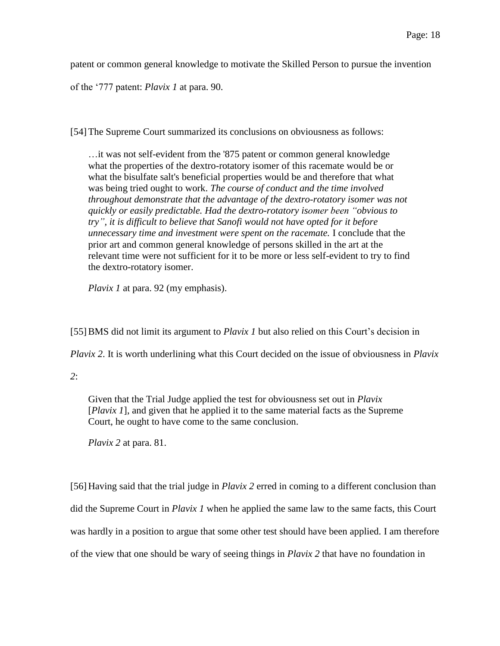patent or common general knowledge to motivate the Skilled Person to pursue the invention

of the '777 patent: *Plavix 1* at para. 90.

[54] The Supreme Court summarized its conclusions on obviousness as follows:

…it was not self-evident from the '875 patent or common general knowledge what the properties of the dextro-rotatory isomer of this racemate would be or what the bisulfate salt's beneficial properties would be and therefore that what was being tried ought to work. *The course of conduct and the time involved throughout demonstrate that the advantage of the dextro-rotatory isomer was not quickly or easily predictable. Had the dextro-rotatory isomer been "obvious to try", it is difficult to believe that Sanofi would not have opted for it before unnecessary time and investment were spent on the racemate.* I conclude that the prior art and common general knowledge of persons skilled in the art at the relevant time were not sufficient for it to be more or less self-evident to try to find the dextro-rotatory isomer.

*Plavix 1* at para. 92 (my emphasis).

[55]BMS did not limit its argument to *Plavix 1* but also relied on this Court's decision in

*Plavix 2*. It is worth underlining what this Court decided on the issue of obviousness in *Plavix* 

*2*:

Given that the Trial Judge applied the test for obviousness set out in *Plavix* [*Plavix 1*], and given that he applied it to the same material facts as the Supreme Court, he ought to have come to the same conclusion.

*Plavix 2* at para. 81.

[56] Having said that the trial judge in *Plavix 2* erred in coming to a different conclusion than did the Supreme Court in *Plavix 1* when he applied the same law to the same facts, this Court was hardly in a position to argue that some other test should have been applied. I am therefore of the view that one should be wary of seeing things in *Plavix 2* that have no foundation in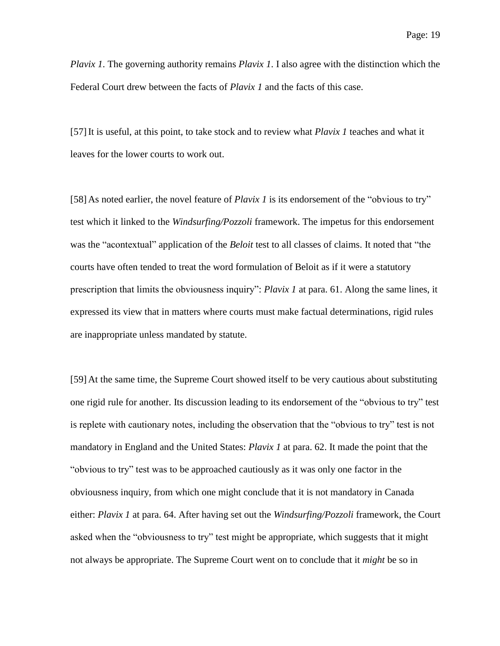*Plavix 1*. The governing authority remains *Plavix 1*. I also agree with the distinction which the Federal Court drew between the facts of *Plavix 1* and the facts of this case.

[57]It is useful, at this point, to take stock and to review what *Plavix 1* teaches and what it leaves for the lower courts to work out.

[58] As noted earlier, the novel feature of *Plavix 1* is its endorsement of the "obvious to try" test which it linked to the *Windsurfing/Pozzoli* framework. The impetus for this endorsement was the "acontextual" application of the *Beloit* test to all classes of claims. It noted that "the courts have often tended to treat the word formulation of Beloit as if it were a statutory prescription that limits the obviousness inquiry": *Plavix 1* at para. 61. Along the same lines, it expressed its view that in matters where courts must make factual determinations, rigid rules are inappropriate unless mandated by statute.

[59] At the same time, the Supreme Court showed itself to be very cautious about substituting one rigid rule for another. Its discussion leading to its endorsement of the "obvious to try" test is replete with cautionary notes, including the observation that the "obvious to try" test is not mandatory in England and the United States: *Plavix 1* at para. 62. It made the point that the "obvious to try" test was to be approached cautiously as it was only one factor in the obviousness inquiry, from which one might conclude that it is not mandatory in Canada either: *Plavix 1* at para. 64. After having set out the *Windsurfing/Pozzoli* framework, the Court asked when the "obviousness to try" test might be appropriate, which suggests that it might not always be appropriate. The Supreme Court went on to conclude that it *might* be so in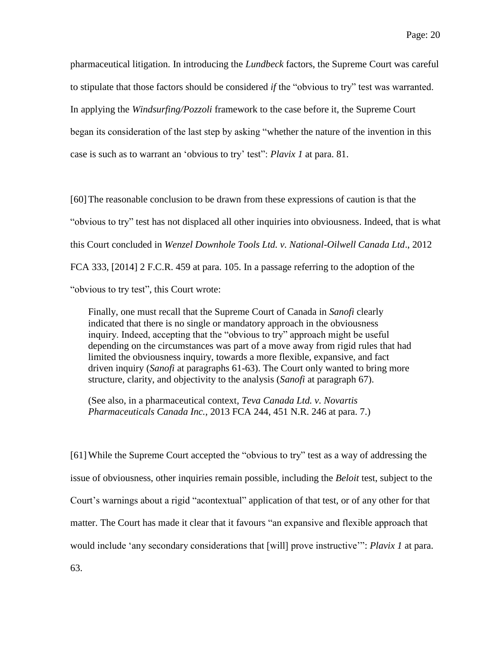pharmaceutical litigation. In introducing the *Lundbeck* factors, the Supreme Court was careful to stipulate that those factors should be considered *if* the "obvious to try" test was warranted. In applying the *Windsurfing/Pozzoli* framework to the case before it, the Supreme Court began its consideration of the last step by asking "whether the nature of the invention in this case is such as to warrant an 'obvious to try' test": *Plavix 1* at para. 81.

[60]The reasonable conclusion to be drawn from these expressions of caution is that the "obvious to try" test has not displaced all other inquiries into obviousness. Indeed, that is what this Court concluded in *Wenzel Downhole Tools Ltd. v. National-Oilwell Canada Ltd*., 2012 FCA 333, [2014] 2 F.C.R. 459 at para. 105. In a passage referring to the adoption of the "obvious to try test", this Court wrote:

Finally, one must recall that the Supreme Court of Canada in *Sanofi* clearly indicated that there is no single or mandatory approach in the obviousness inquiry. Indeed, accepting that the "obvious to try" approach might be useful depending on the circumstances was part of a move away from rigid rules that had limited the obviousness inquiry, towards a more flexible, expansive, and fact driven inquiry (*Sanofi* at paragraphs 61-63). The Court only wanted to bring more structure, clarity, and objectivity to the analysis (*Sanofi* at paragraph 67).

(See also, in a pharmaceutical context, *Teva Canada Ltd. v. Novartis Pharmaceuticals Canada Inc.*, 2013 FCA 244, 451 N.R. 246 at para. 7.)

[61]While the Supreme Court accepted the "obvious to try" test as a way of addressing the issue of obviousness, other inquiries remain possible, including the *Beloit* test, subject to the Court's warnings about a rigid "acontextual" application of that test, or of any other for that matter. The Court has made it clear that it favours "an expansive and flexible approach that would include 'any secondary considerations that [will] prove instructive'": *Plavix 1* at para. 63.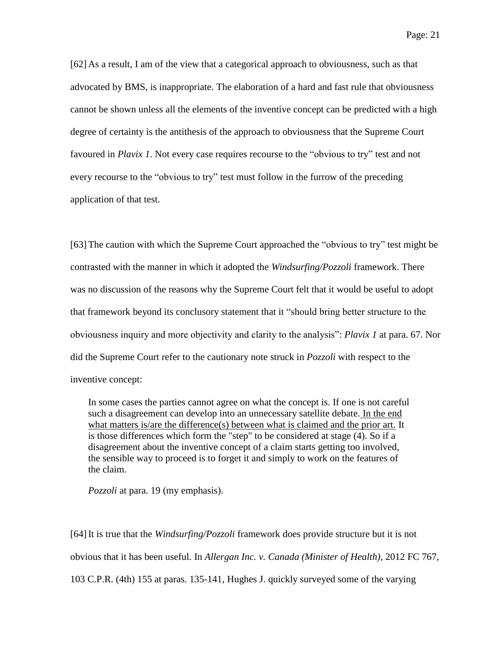[62] As a result, I am of the view that a categorical approach to obviousness, such as that advocated by BMS, is inappropriate. The elaboration of a hard and fast rule that obviousness cannot be shown unless all the elements of the inventive concept can be predicted with a high degree of certainty is the antithesis of the approach to obviousness that the Supreme Court favoured in *Plavix 1*. Not every case requires recourse to the "obvious to try" test and not every recourse to the "obvious to try" test must follow in the furrow of the preceding application of that test.

[63]The caution with which the Supreme Court approached the "obvious to try" test might be contrasted with the manner in which it adopted the *Windsurfing/Pozzoli* framework. There was no discussion of the reasons why the Supreme Court felt that it would be useful to adopt that framework beyond its conclusory statement that it "should bring better structure to the obviousness inquiry and more objectivity and clarity to the analysis": *Plavix 1* at para. 67. Nor did the Supreme Court refer to the cautionary note struck in *Pozzoli* with respect to the inventive concept:

In some cases the parties cannot agree on what the concept is. If one is not careful such a disagreement can develop into an unnecessary satellite debate. In the end what matters is/are the difference(s) between what is claimed and the prior art. It is those differences which form the "step" to be considered at stage (4). So if a disagreement about the inventive concept of a claim starts getting too involved, the sensible way to proceed is to forget it and simply to work on the features of the claim.

*Pozzoli* at para. 19 (my emphasis).

[64]It is true that the *Windsurfing/Pozzoli* framework does provide structure but it is not obvious that it has been useful. In *Allergan Inc. v. Canada (Minister of Health)*, 2012 FC 767, 103 C.P.R. (4th) 155 at paras. 135-141, Hughes J. quickly surveyed some of the varying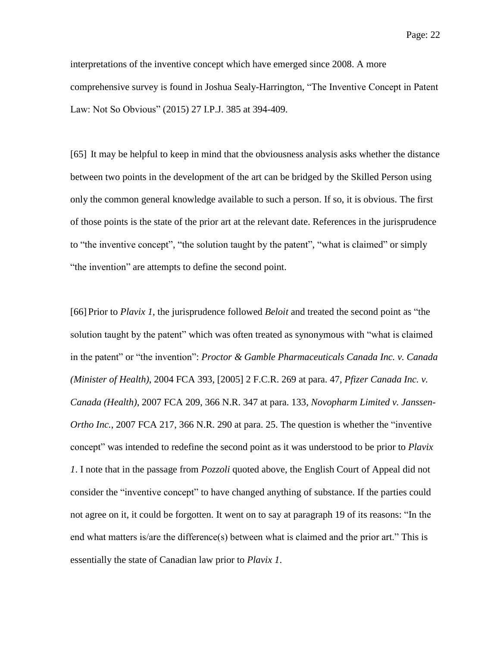interpretations of the inventive concept which have emerged since 2008. A more comprehensive survey is found in Joshua Sealy-Harrington, "The Inventive Concept in Patent Law: Not So Obvious" (2015) 27 I.P.J. 385 at 394-409.

[65] It may be helpful to keep in mind that the obviousness analysis asks whether the distance between two points in the development of the art can be bridged by the Skilled Person using only the common general knowledge available to such a person. If so, it is obvious. The first of those points is the state of the prior art at the relevant date. References in the jurisprudence to "the inventive concept", "the solution taught by the patent", "what is claimed" or simply "the invention" are attempts to define the second point.

[66] Prior to *Plavix 1*, the jurisprudence followed *Beloit* and treated the second point as "the solution taught by the patent" which was often treated as synonymous with "what is claimed in the patent" or "the invention": *Proctor & Gamble Pharmaceuticals Canada Inc. v. Canada (Minister of Health)*, 2004 FCA 393, [2005] 2 F.C.R. 269 at para. 47, *Pfizer Canada Inc. v. Canada (Health)*, 2007 FCA 209, 366 N.R. 347 at para. 133, *Novopharm Limited v. Janssen-Ortho Inc.*, 2007 FCA 217, 366 N.R. 290 at para. 25. The question is whether the "inventive concept" was intended to redefine the second point as it was understood to be prior to *Plavix 1*. I note that in the passage from *Pozzoli* quoted above, the English Court of Appeal did not consider the "inventive concept" to have changed anything of substance. If the parties could not agree on it, it could be forgotten. It went on to say at paragraph 19 of its reasons: "In the end what matters is/are the difference(s) between what is claimed and the prior art." This is essentially the state of Canadian law prior to *Plavix 1*.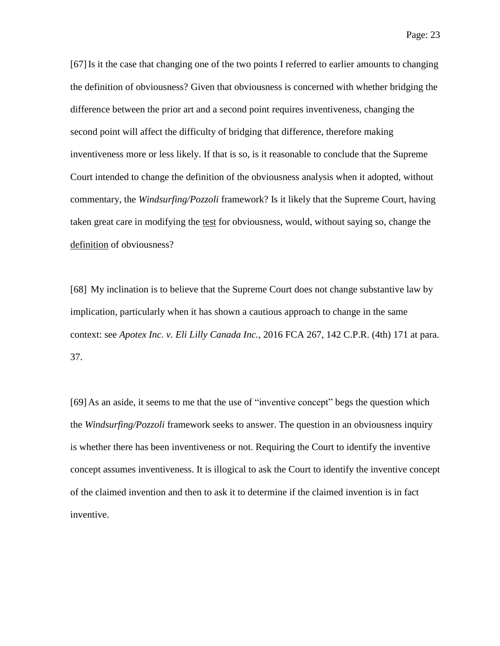[67]Is it the case that changing one of the two points I referred to earlier amounts to changing the definition of obviousness? Given that obviousness is concerned with whether bridging the difference between the prior art and a second point requires inventiveness, changing the second point will affect the difficulty of bridging that difference, therefore making inventiveness more or less likely. If that is so, is it reasonable to conclude that the Supreme Court intended to change the definition of the obviousness analysis when it adopted, without commentary, the *Windsurfing/Pozzoli* framework? Is it likely that the Supreme Court, having taken great care in modifying the test for obviousness, would, without saying so, change the definition of obviousness?

[68] My inclination is to believe that the Supreme Court does not change substantive law by implication, particularly when it has shown a cautious approach to change in the same context: see *Apotex Inc. v. Eli Lilly Canada Inc.*, 2016 FCA 267, 142 C.P.R. (4th) 171 at para. 37.

[69] As an aside, it seems to me that the use of "inventive concept" begs the question which the *Windsurfing/Pozzoli* framework seeks to answer. The question in an obviousness inquiry is whether there has been inventiveness or not. Requiring the Court to identify the inventive concept assumes inventiveness. It is illogical to ask the Court to identify the inventive concept of the claimed invention and then to ask it to determine if the claimed invention is in fact inventive.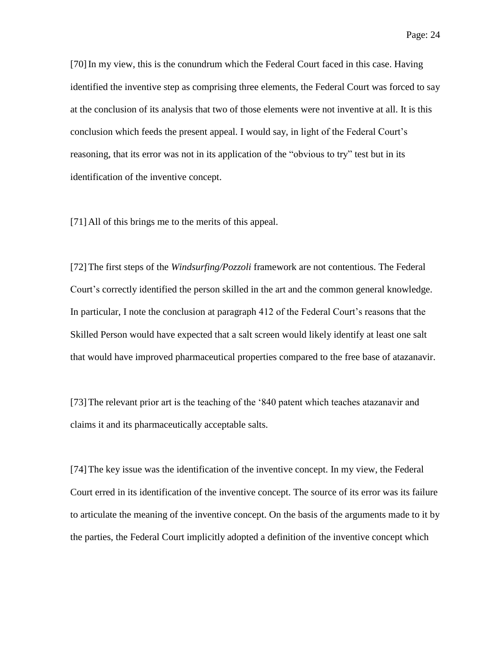[70]In my view, this is the conundrum which the Federal Court faced in this case. Having identified the inventive step as comprising three elements, the Federal Court was forced to say at the conclusion of its analysis that two of those elements were not inventive at all. It is this conclusion which feeds the present appeal. I would say, in light of the Federal Court's reasoning, that its error was not in its application of the "obvious to try" test but in its identification of the inventive concept.

[71] All of this brings me to the merits of this appeal.

[72]The first steps of the *Windsurfing/Pozzoli* framework are not contentious. The Federal Court's correctly identified the person skilled in the art and the common general knowledge. In particular, I note the conclusion at paragraph 412 of the Federal Court's reasons that the Skilled Person would have expected that a salt screen would likely identify at least one salt that would have improved pharmaceutical properties compared to the free base of atazanavir.

[73]The relevant prior art is the teaching of the '840 patent which teaches atazanavir and claims it and its pharmaceutically acceptable salts.

[74]The key issue was the identification of the inventive concept. In my view, the Federal Court erred in its identification of the inventive concept. The source of its error was its failure to articulate the meaning of the inventive concept. On the basis of the arguments made to it by the parties, the Federal Court implicitly adopted a definition of the inventive concept which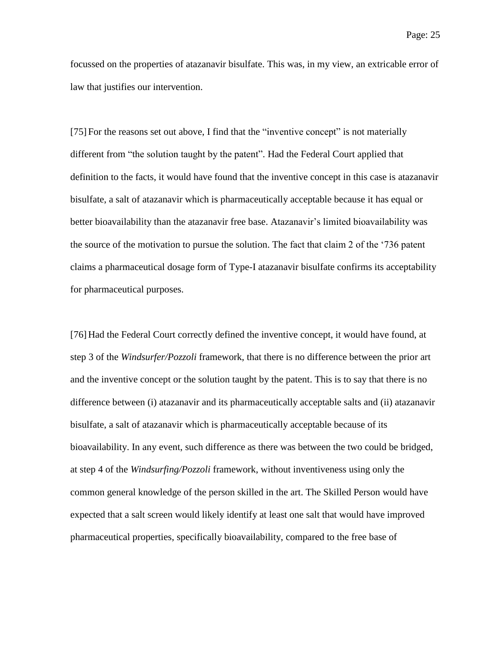focussed on the properties of atazanavir bisulfate. This was, in my view, an extricable error of law that justifies our intervention.

[75] For the reasons set out above, I find that the "inventive concept" is not materially different from "the solution taught by the patent". Had the Federal Court applied that definition to the facts, it would have found that the inventive concept in this case is atazanavir bisulfate, a salt of atazanavir which is pharmaceutically acceptable because it has equal or better bioavailability than the atazanavir free base. Atazanavir's limited bioavailability was the source of the motivation to pursue the solution. The fact that claim 2 of the '736 patent claims a pharmaceutical dosage form of Type-I atazanavir bisulfate confirms its acceptability for pharmaceutical purposes.

[76] Had the Federal Court correctly defined the inventive concept, it would have found, at step 3 of the *Windsurfer/Pozzoli* framework, that there is no difference between the prior art and the inventive concept or the solution taught by the patent. This is to say that there is no difference between (i) atazanavir and its pharmaceutically acceptable salts and (ii) atazanavir bisulfate, a salt of atazanavir which is pharmaceutically acceptable because of its bioavailability. In any event, such difference as there was between the two could be bridged, at step 4 of the *Windsurfing/Pozzoli* framework, without inventiveness using only the common general knowledge of the person skilled in the art. The Skilled Person would have expected that a salt screen would likely identify at least one salt that would have improved pharmaceutical properties, specifically bioavailability, compared to the free base of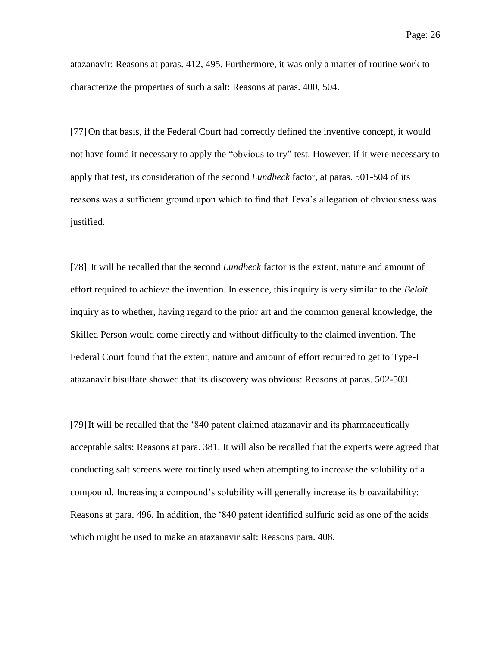atazanavir: Reasons at paras. 412, 495. Furthermore, it was only a matter of routine work to characterize the properties of such a salt: Reasons at paras. 400, 504.

[77] On that basis, if the Federal Court had correctly defined the inventive concept, it would not have found it necessary to apply the "obvious to try" test. However, if it were necessary to apply that test, its consideration of the second *Lundbeck* factor, at paras. 501-504 of its reasons was a sufficient ground upon which to find that Teva's allegation of obviousness was justified.

[78] It will be recalled that the second *Lundbeck* factor is the extent, nature and amount of effort required to achieve the invention. In essence, this inquiry is very similar to the *Beloit* inquiry as to whether, having regard to the prior art and the common general knowledge, the Skilled Person would come directly and without difficulty to the claimed invention. The Federal Court found that the extent, nature and amount of effort required to get to Type-I atazanavir bisulfate showed that its discovery was obvious: Reasons at paras. 502-503.

[79]It will be recalled that the '840 patent claimed atazanavir and its pharmaceutically acceptable salts: Reasons at para. 381. It will also be recalled that the experts were agreed that conducting salt screens were routinely used when attempting to increase the solubility of a compound. Increasing a compound's solubility will generally increase its bioavailability: Reasons at para. 496. In addition, the '840 patent identified sulfuric acid as one of the acids which might be used to make an atazanavir salt: Reasons para. 408.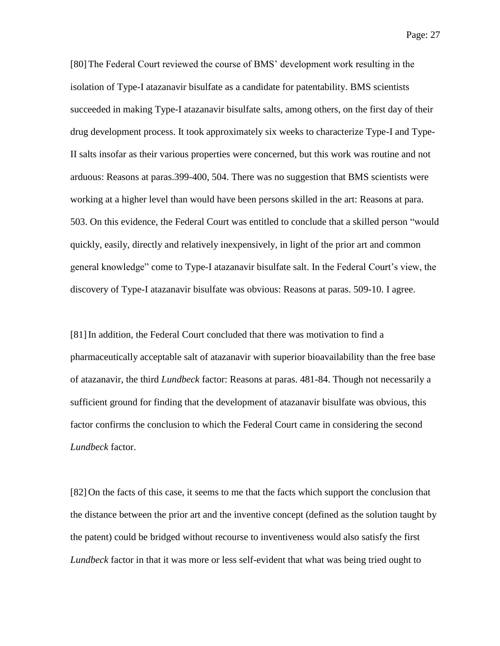[80] The Federal Court reviewed the course of BMS' development work resulting in the isolation of Type-I atazanavir bisulfate as a candidate for patentability. BMS scientists succeeded in making Type-I atazanavir bisulfate salts, among others, on the first day of their drug development process. It took approximately six weeks to characterize Type-I and Type-II salts insofar as their various properties were concerned, but this work was routine and not arduous: Reasons at paras.399-400, 504. There was no suggestion that BMS scientists were working at a higher level than would have been persons skilled in the art: Reasons at para. 503. On this evidence, the Federal Court was entitled to conclude that a skilled person "would quickly, easily, directly and relatively inexpensively, in light of the prior art and common general knowledge" come to Type-I atazanavir bisulfate salt. In the Federal Court's view, the discovery of Type-I atazanavir bisulfate was obvious: Reasons at paras. 509-10. I agree.

[81]In addition, the Federal Court concluded that there was motivation to find a pharmaceutically acceptable salt of atazanavir with superior bioavailability than the free base of atazanavir, the third *Lundbeck* factor: Reasons at paras. 481-84. Though not necessarily a sufficient ground for finding that the development of atazanavir bisulfate was obvious, this factor confirms the conclusion to which the Federal Court came in considering the second *Lundbeck* factor.

[82] On the facts of this case, it seems to me that the facts which support the conclusion that the distance between the prior art and the inventive concept (defined as the solution taught by the patent) could be bridged without recourse to inventiveness would also satisfy the first *Lundbeck* factor in that it was more or less self-evident that what was being tried ought to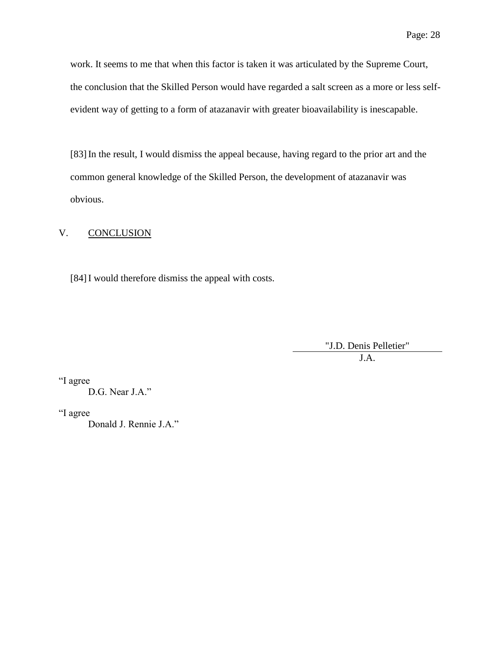work. It seems to me that when this factor is taken it was articulated by the Supreme Court, the conclusion that the Skilled Person would have regarded a salt screen as a more or less selfevident way of getting to a form of atazanavir with greater bioavailability is inescapable.

[83]In the result, I would dismiss the appeal because, having regard to the prior art and the common general knowledge of the Skilled Person, the development of atazanavir was obvious.

### V. CONCLUSION

[84]I would therefore dismiss the appeal with costs.

"J.D. Denis Pelletier" J.A.

"I agree

D.G. Near J.A."

"I agree

Donald J. Rennie J.A."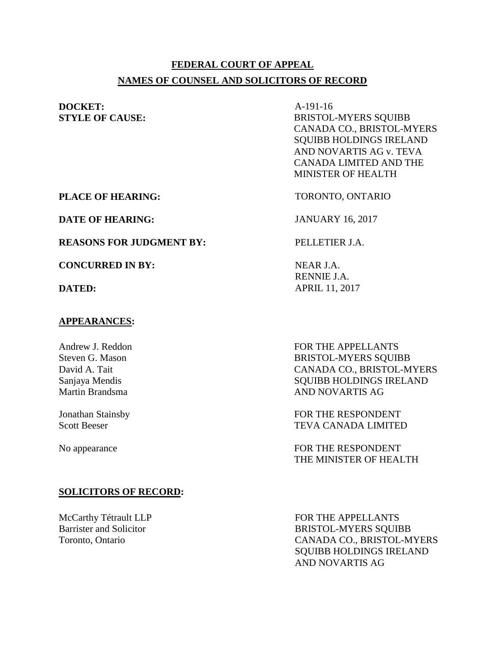# **FEDERAL COURT OF APPEAL NAMES OF COUNSEL AND SOLICITORS OF RECORD**

**DOCKET:** A-191-16

**STYLE OF CAUSE:** BRISTOL-MYERS SQUIBB CANADA CO., BRISTOL-MYERS SQUIBB HOLDINGS IRELAND AND NOVARTIS AG v. TEVA CANADA LIMITED AND THE MINISTER OF HEALTH

**PLACE OF HEARING:** TORONTO, ONTARIO

**DATE OF HEARING:** JANUARY 16, 2017

**REASONS FOR JUDGMENT BY:** PELLETIER J.A.

**CONCURRED IN BY:** NEAR J.A.

#### **APPEARANCES:**

Andrew J. Reddon Steven G. Mason David A. Tait Sanjaya Mendis Martin Brandsma

Jonathan Stainsby Scott Beeser

# **SOLICITORS OF RECORD:**

McCarthy Tétrault LLP Barrister and Solicitor Toronto, Ontario

RENNIE J.A. **DATED:** APRIL 11, 2017

> FOR THE APPELLANTS BRISTOL-MYERS SQUIBB CANADA CO., BRISTOL-MYERS SQUIBB HOLDINGS IRELAND AND NOVARTIS AG

FOR THE RESPONDENT TEVA CANADA LIMITED

No appearance FOR THE RESPONDENT THE MINISTER OF HEALTH

> FOR THE APPELLANTS BRISTOL-MYERS SQUIBB CANADA CO., BRISTOL-MYERS SQUIBB HOLDINGS IRELAND AND NOVARTIS AG